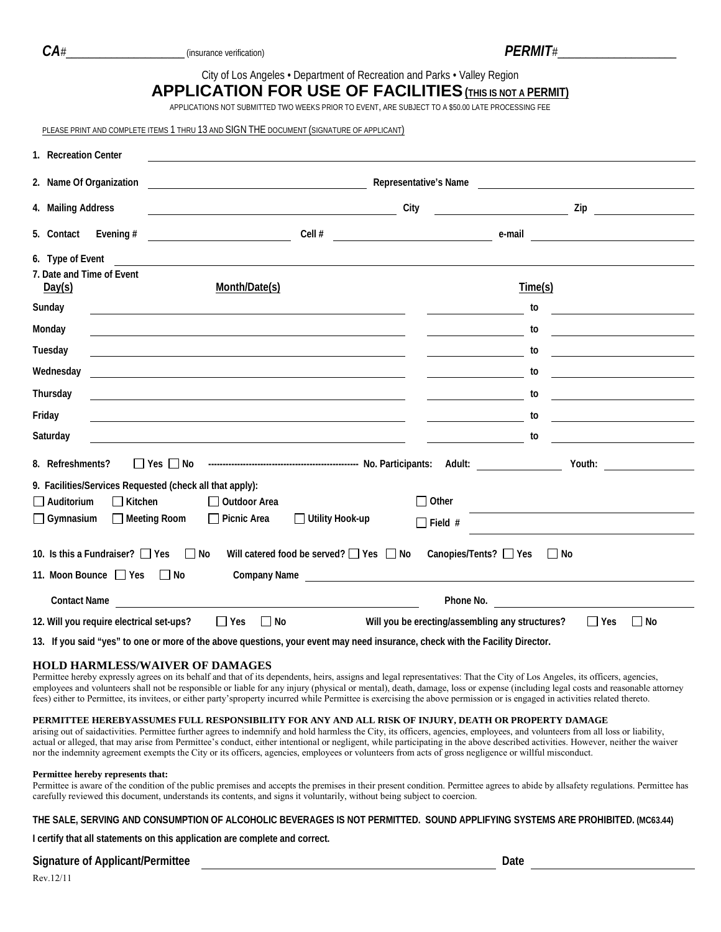| ٠ |  |
|---|--|

*CA#*\_\_\_\_\_\_\_\_\_\_\_\_\_\_\_\_\_\_\_\_\_ (insurance verification) *PERMIT#*\_\_\_\_\_\_\_\_\_\_\_\_\_\_\_\_\_\_\_\_\_City of Los Angeles • Department of Recreation and Parks • Valley Region

## **APPLICATION FOR USE OF FACILITIES(THIS IS NOT A PERMIT)**

APPLICATIONS NOT SUBMITTED TWO WEEKS PRIOR TO EVENT, ARE SUBJECT TO A \$50.00 LATE PROCESSING FEE

PLEASE PRINT AND COMPLETE ITEMS 1 THRU 13 AND SIGN THE DOCUMENT (SIGNATURE OF APPLICANT)

| 1. Recreation Center                                                         |                                                                                                                                                                       |                                                   |                                                                                                                                                                                                                                                         |                                                                                                                                  |  |  |  |  |
|------------------------------------------------------------------------------|-----------------------------------------------------------------------------------------------------------------------------------------------------------------------|---------------------------------------------------|---------------------------------------------------------------------------------------------------------------------------------------------------------------------------------------------------------------------------------------------------------|----------------------------------------------------------------------------------------------------------------------------------|--|--|--|--|
| 2. Name Of Organization                                                      | Representative's Name<br><u> 1980 - Johann Barbara, martin amerikan basar dan basar dan basar dalam basar dalam basar dalam basar dalam ba</u>                        |                                                   |                                                                                                                                                                                                                                                         |                                                                                                                                  |  |  |  |  |
| 4. Mailing Address                                                           | <u> 1989 - Johann Barn, mars an t-Amerikaansk politiker (</u>                                                                                                         | City                                              |                                                                                                                                                                                                                                                         |                                                                                                                                  |  |  |  |  |
| 5. Contact<br>Evening #                                                      | <u> 1989 - Johann Barbara, martin a</u>                                                                                                                               | Cell #                                            | e-mail                                                                                                                                                                                                                                                  | <u> 1980 - Andrea Station Barbara, amerikan personal (h. 1980).</u>                                                              |  |  |  |  |
| 6. Type of Event<br>7. Date and Time of Event<br>Day(s)                      | <u> 1980 - Andrea State Barbara, amerikan bahasa di sebagai personal di sebagai personal di sebagai personal di s</u><br>Month/Date(s)                                |                                                   |                                                                                                                                                                                                                                                         | Time(s)                                                                                                                          |  |  |  |  |
| Sunday                                                                       | <u> 1980 - Jan James James James James James James James James James James James James James James James James J</u>                                                  |                                                   |                                                                                                                                                                                                                                                         | to                                                                                                                               |  |  |  |  |
| Monday<br>Tuesday                                                            | <u> 1989 - Andrea Santa Alemania, amerikana amerikana amerikana amerikana amerikana amerikana amerikana amerikana</u>                                                 |                                                   |                                                                                                                                                                                                                                                         | to<br><u> Alexandria de la contenentación de la contenentación de la contenentación de la contenentación de la contene</u><br>to |  |  |  |  |
| Wednesday                                                                    | <u> 1989 - Johann Stoff, amerikansk politiker (d. 1989)</u><br><u> 1989 - Johann Barbara, martxa alemaniar arg</u> entina (h. 1918).                                  |                                                   | <u> The Communication of the Communication</u><br><u> The Community of the Community</u>                                                                                                                                                                | <u> 1989 - Johann Stein, Amerikaansk politiker (</u><br>to                                                                       |  |  |  |  |
| Thursday                                                                     |                                                                                                                                                                       |                                                   |                                                                                                                                                                                                                                                         | to                                                                                                                               |  |  |  |  |
| Friday                                                                       | <u> 1989 - Johann Stoff, amerikansk politiker (d. 1989)</u>                                                                                                           |                                                   | <u> The Common State of the Common State of the Common State of the Common State of the Common State of the Common State of the Common State of the Common State of the Common State of the Common State of the Common State of </u>                    | <u> 1989 - Johann Stoff, deutscher Stoffen und der Stoffen und der Stoffen und der Stoffen und der Stoffen und der </u><br>to    |  |  |  |  |
| Saturday                                                                     | <u> 1989 - Johann Stoff, deutscher Stoffen und der Stoffen und der Stoffen und der Stoffen und der Stoffen und der</u><br><u> 1990 - Jan James Sandarík (f. 1980)</u> |                                                   | <u> The Communication of the Communication</u>                                                                                                                                                                                                          | to                                                                                                                               |  |  |  |  |
| 8. Refreshments?                                                             |                                                                                                                                                                       |                                                   |                                                                                                                                                                                                                                                         |                                                                                                                                  |  |  |  |  |
| 9. Facilities/Services Requested (check all that apply):                     |                                                                                                                                                                       |                                                   |                                                                                                                                                                                                                                                         |                                                                                                                                  |  |  |  |  |
| $\Box$ Auditorium<br>$\Box$ Kitchen                                          | □ Outdoor Area                                                                                                                                                        |                                                   | $\Box$ Other                                                                                                                                                                                                                                            |                                                                                                                                  |  |  |  |  |
| $\Box$ Gymnasium                                                             | Meeting Room<br>$\Box$ Picnic Area                                                                                                                                    | $\Box$ Utility Hook-up                            | $\Box$ Field #                                                                                                                                                                                                                                          |                                                                                                                                  |  |  |  |  |
| 10. Is this a Fundraiser? $\Box$ Yes $\Box$ No<br>11. Moon Bounce □ Yes □ No |                                                                                                                                                                       | Will catered food be served? $\Box$ Yes $\Box$ No | Canopies/Tents? □ Yes<br>Company Name and the company of the company of the company of the company of the company of the company of the company of the company of the company of the company of the company of the company of the company of the compan | $\Box$ No                                                                                                                        |  |  |  |  |
| <b>Contact Name</b>                                                          |                                                                                                                                                                       |                                                   | Phone No.                                                                                                                                                                                                                                               |                                                                                                                                  |  |  |  |  |
| 12. Will you require electrical set-ups?                                     | $\Box$ Yes<br>$\Box$ No                                                                                                                                               |                                                   | Will you be erecting/assembling any structures?                                                                                                                                                                                                         | $\Box$ No<br>$\Box$ Yes                                                                                                          |  |  |  |  |

**13. If you said "yes" to one or more of the above questions, your event may need insurance, check with the Facility Director.**

## **HOLD HARMLESS/WAIVER OF DAMAGES**

Permittee hereby expressly agrees on its behalf and that of its dependents, heirs, assigns and legal representatives: That the City of Los Angeles, its officers, agencies, employees and volunteers shall not be responsible or liable for any injury (physical or mental), death, damage, loss or expense (including legal costs and reasonable attorney fees) either to Permittee, its invitees, or either party'sproperty incurred while Permittee is exercising the above permission or is engaged in activities related thereto.

## **PERMITTEE HEREBYASSUMES FULL RESPONSIBILITY FOR ANY AND ALL RISK OF INJURY, DEATH OR PROPERTY DAMAGE**

arising out of saidactivities. Permittee further agrees to indemnify and hold harmless the City, its officers, agencies, employees, and volunteers from all loss or liability, actual or alleged, that may arise from Permittee's conduct, either intentional or negligent, while participating in the above described activities. However, neither the waiver nor the indemnity agreement exempts the City or its officers, agencies, employees or volunteers from acts of gross negligence or willful misconduct.

#### **Permittee hereby represents that:**

Permittee is aware of the condition of the public premises and accepts the premises in their present condition. Permittee agrees to abide by allsafety regulations. Permittee has carefully reviewed this document, understands its contents, and signs it voluntarily, without being subject to coercion.

## **THE SALE, SERVING AND CONSUMPTION OF ALCOHOLIC BEVERAGES IS NOT PERMITTED. SOUND APPLIFYING SYSTEMS ARE PROHIBITED. (MC63.44)**

**I certify that all statements on this application are complete and correct.**

## **Signature of Applicant/Permittee Date**